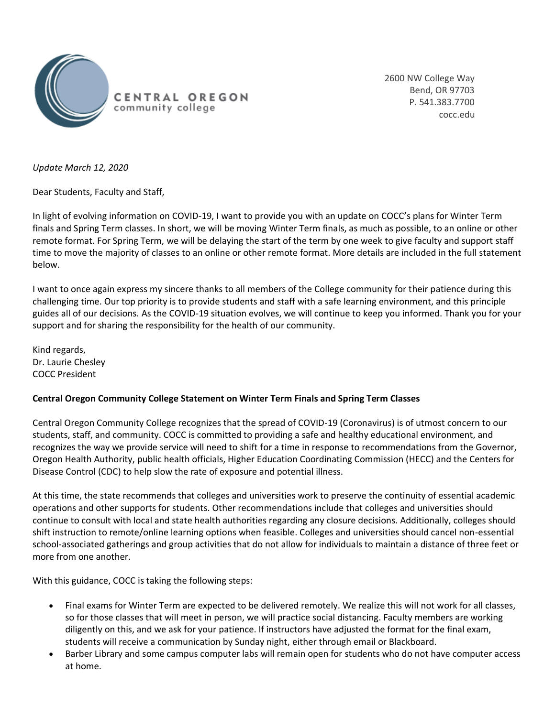

2600 NW College Way Bend, OR 97703 P. 541.383.7700 cocc.edu

*Update March 12, 2020*

Dear Students, Faculty and Staff,

In light of evolving information on COVID-19, I want to provide you with an update on COCC's plans for Winter Term finals and Spring Term classes. In short, we will be moving Winter Term finals, as much as possible, to an online or other remote format. For Spring Term, we will be delaying the start of the term by one week to give faculty and support staff time to move the majority of classes to an online or other remote format. More details are included in the full statement below.

I want to once again express my sincere thanks to all members of the College community for their patience during this challenging time. Our top priority is to provide students and staff with a safe learning environment, and this principle guides all of our decisions. As the COVID-19 situation evolves, we will continue to keep you informed. Thank you for your support and for sharing the responsibility for the health of our community.

Kind regards, Dr. Laurie Chesley COCC President

## **Central Oregon Community College Statement on Winter Term Finals and Spring Term Classes**

Central Oregon Community College recognizes that the spread of COVID-19 (Coronavirus) is of utmost concern to our students, staff, and community. COCC is committed to providing a safe and healthy educational environment, and recognizes the way we provide service will need to shift for a time in response to recommendations from the Governor, Oregon Health Authority, public health officials, Higher Education Coordinating Commission (HECC) and the Centers for Disease Control (CDC) to help slow the rate of exposure and potential illness.

At this time, the state recommends that colleges and universities work to preserve the continuity of essential academic operations and other supports for students. Other recommendations include that colleges and universities should continue to consult with local and state health authorities regarding any closure decisions. Additionally, colleges should shift instruction to remote/online learning options when feasible. Colleges and universities should cancel non-essential school-associated gatherings and group activities that do not allow for individuals to maintain a distance of three feet or more from one another.

With this guidance, COCC is taking the following steps:

- Final exams for Winter Term are expected to be delivered remotely. We realize this will not work for all classes, so for those classes that will meet in person, we will practice social distancing. Faculty members are working diligently on this, and we ask for your patience. If instructors have adjusted the format for the final exam, students will receive a communication by Sunday night, either through email or Blackboard.
- Barber Library and some campus computer labs will remain open for students who do not have computer access at home.